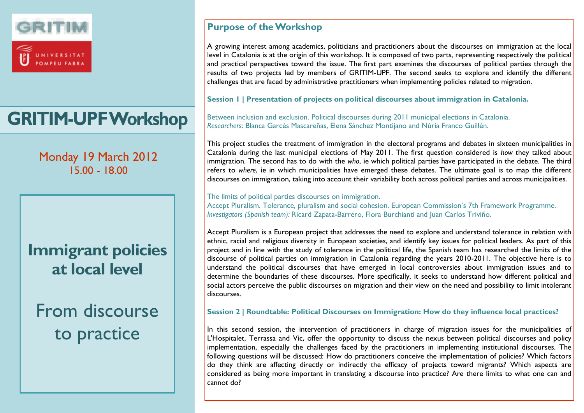

# **GRITIM-UPF Workshop**

Monday 19 March 2012 15.00 - 18.00

## **Immigrant policies at local level**

From discourse to practice

## **Purpose of the Workshop**

A growing interest among academics, politicians and practitioners about the discourses on immigration at the local level in Catalonia is at the origin of this workshop. It is composed of two parts, representing respectively the political and practical perspectives toward the issue. The first part examines the discourses of political parties through the results of two projects led by members of GRITIM-UPF. The second seeks to explore and identify the different challenges that are faced by administrative practitioners when implementing policies related to migration.

**Session 1 | Presentation of projects on political discourses about immigration in Catalonia.**

Between inclusion and exclusion. Political discourses during 2011 municipal elections in Catalonia. *Researchers*: Blanca Garcès Mascareñas, Elena Sánchez Montijano and Núria Franco Guillén.

This project studies the treatment of immigration in the electoral programs and debates in sixteen municipalities in Catalonia during the last municipal elections of May 2011. The first question considered is *how* they talked about immigration. The second has to do with the *who*, ie which political parties have participated in the debate. The third refers to *where*, ie in which municipalities have emerged these debates. The ultimate goal is to map the different discourses on immigration, taking into account their variability both across political parties and across municipalities.

The limits of political parties discourses on immigration.

Accept Pluralism. Tolerance, pluralism and social cohesion. European Commission's 7th Framework Programme. *Investigators (Spanish team):* Ricard Zapata-Barrero, Flora Burchianti and Juan Carlos Triviño.

Accept Pluralism is a European project that addresses the need to explore and understand tolerance in relation with ethnic, racial and religious diversity in European societies, and identify key issues for political leaders. As part of this project and in line with the study of tolerance in the political life, the Spanish team has researched the limits of the discourse of political parties on immigration in Catalonia regarding the years 2010-2011. The objective here is to understand the political discourses that have emerged in local controversies about immigration issues and to determine the boundaries of these discourses. More specifically, it seeks to understand how different political and social actors perceive the public discourses on migration and their view on the need and possibility to limit intolerant discourses.

**Session 2 | Roundtable: Political Discourses on Immigration: How do they influence local practices?**

In this second session, the intervention of practitioners in charge of migration issues for the municipalities of L'Hospitalet, Terrassa and Vic, offer the opportunity to discuss the nexus between political discourses and policy implementation, especially the challenges faced by the practitioners in implementing institutional discourses. The following questions will be discussed: How do practitioners conceive the implementation of policies? Which factors do they think are affecting directly or indirectly the efficacy of projects toward migrants? Which aspects are considered as being more important in translating a discourse into practice? Are there limits to what one can and cannot do?